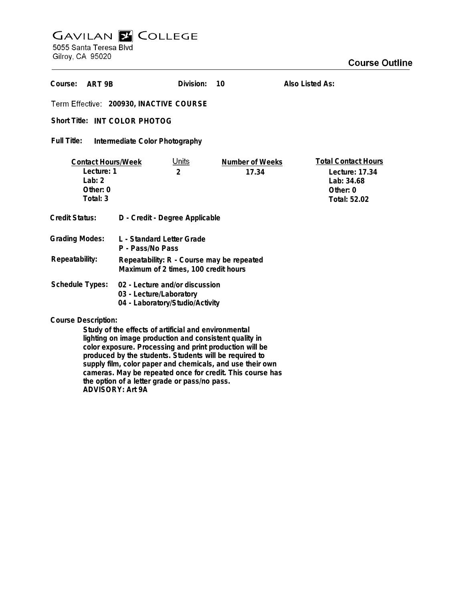## **GAVILAN E COLLEGE**<br>5055 Santa Teresa Blvd

Gilroy, CA 95020

| Course:<br>ART 9B                                                                                                                                                                                                      |                                                                                              | Division:                      | 10                       | Also Listed As:                                                                        |
|------------------------------------------------------------------------------------------------------------------------------------------------------------------------------------------------------------------------|----------------------------------------------------------------------------------------------|--------------------------------|--------------------------|----------------------------------------------------------------------------------------|
| Term Effective: 200930, INACTIVE COURSE                                                                                                                                                                                |                                                                                              |                                |                          |                                                                                        |
| Short Title: INT COLOR PHOTOG                                                                                                                                                                                          |                                                                                              |                                |                          |                                                                                        |
| <b>Full Title:</b><br>Intermediate Color Photography                                                                                                                                                                   |                                                                                              |                                |                          |                                                                                        |
| <b>Contact Hours/Week</b><br>Lecture: 1<br>Lab: $2$<br>Other: 0<br>Total: 3                                                                                                                                            |                                                                                              | <u>Units</u><br>$\overline{2}$ | Number of Weeks<br>17.34 | <b>Total Contact Hours</b><br>Lecture: 17.34<br>Lab: 34.68<br>Other: 0<br>Total: 52.02 |
| <b>Credit Status:</b>                                                                                                                                                                                                  | D - Credit - Degree Applicable                                                               |                                |                          |                                                                                        |
| <b>Grading Modes:</b>                                                                                                                                                                                                  | L - Standard Letter Grade<br>P - Pass/No Pass                                                |                                |                          |                                                                                        |
| Repeatability:                                                                                                                                                                                                         | Repeatability: R - Course may be repeated<br>Maximum of 2 times, 100 credit hours            |                                |                          |                                                                                        |
| Schedule Types:                                                                                                                                                                                                        | 02 - Lecture and/or discussion<br>03 - Lecture/Laboratory<br>04 - Laboratory/Studio/Activity |                                |                          |                                                                                        |
| <b>Course Description:</b><br>Study of the effects of artificial and environmental<br>lighting on image production and consistent quality in<br>واللالين ويمللون المواطن والمتلوم المواطن والمتحدث والمستحدث والمستحدث |                                                                                              |                                |                          |                                                                                        |

**color exposure. Processing and print production will be produced by the students. Students will be required to supply film, color paper and chemicals, and use their own cameras. May be repeated once for credit. This course has the option of a letter grade or pass/no pass. ADVISORY: Art 9A**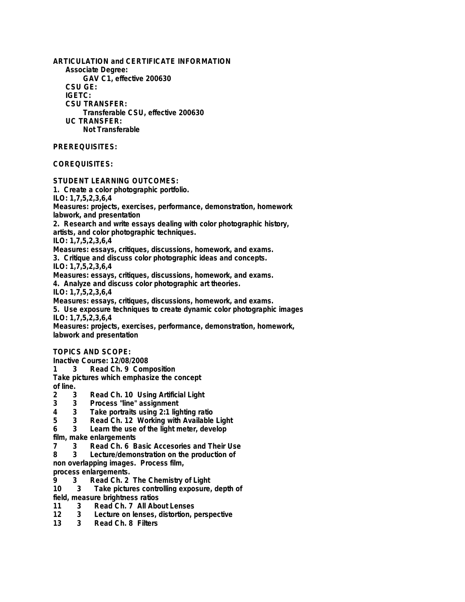**ARTICULATION and CERTIFICATE INFORMATION Associate Degree: GAV C1, effective 200630 CSU GE: IGETC: CSU TRANSFER: Transferable CSU, effective 200630 UC TRANSFER: Not Transferable PREREQUISITES: COREQUISITES: STUDENT LEARNING OUTCOMES: 1. Create a color photographic portfolio. ILO: 1,7,5,2,3,6,4 Measures: projects, exercises, performance, demonstration, homework labwork, and presentation 2. Research and write essays dealing with color photographic history, artists, and color photographic techniques. ILO: 1,7,5,2,3,6,4 Measures: essays, critiques, discussions, homework, and exams. 3. Critique and discuss color photographic ideas and concepts. ILO: 1,7,5,2,3,6,4 Measures: essays, critiques, discussions, homework, and exams. 4. Analyze and discuss color photographic art theories. ILO: 1,7,5,2,3,6,4 Measures: essays, critiques, discussions, homework, and exams. 5. Use exposure techniques to create dynamic color photographic images ILO: 1,7,5,2,3,6,4 Measures: projects, exercises, performance, demonstration, homework, labwork and presentation TOPICS AND SCOPE: Inactive Course: 12/08/2008 1 3 Read Ch. 9 Composition Take pictures which emphasize the concept of line. 2 3 Read Ch. 10 Using Artificial Light 3 3 Process "line" assignment 4 3 Take portraits using 2:1 lighting ratio 5 3 Read Ch. 12 Working with Available Light 6 3 Learn the use of the light meter, develop film, make enlargements 7 3 Read Ch. 6 Basic Accesories and Their Use 8 3 Lecture/demonstration on the production of**

**non overlapping images. Process film, process enlargements.**

- **9 3 Read Ch. 2 The Chemistry of Light**
- **10 3 Take pictures controlling exposure, depth of**
- **field, measure brightness ratios**
- **11 3 Read Ch. 7 All About Lenses**
- **12 3 Lecture on lenses, distortion, perspective**
- Read Ch. 8 Filters